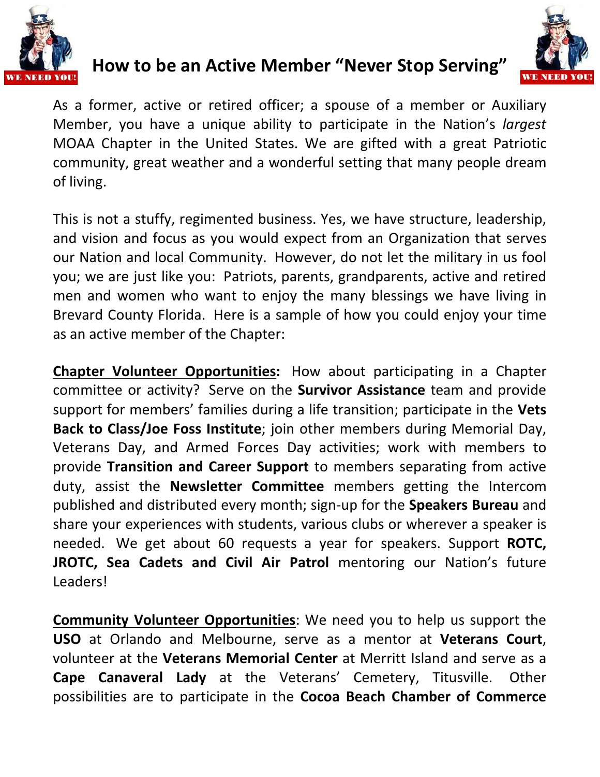

## **How to be an Active Member "Never Stop Serving"**



As a former, active or retired officer; a spouse of a member or Auxiliary Member, you have a unique ability to participate in the Nation's *largest* MOAA Chapter in the United States. We are gifted with a great Patriotic community, great weather and a wonderful setting that many people dream of living.

This is not a stuffy, regimented business. Yes, we have structure, leadership, and vision and focus as you would expect from an Organization that serves our Nation and local Community. However, do not let the military in us fool you; we are just like you: Patriots, parents, grandparents, active and retired men and women who want to enjoy the many blessings we have living in Brevard County Florida. Here is a sample of how you could enjoy your time as an active member of the Chapter:

**Chapter Volunteer Opportunities:** How about participating in a Chapter committee or activity? Serve on the **Survivor Assistance** team and provide support for members' families during a life transition; participate in the **Vets Back to Class/Joe Foss Institute**; join other members during Memorial Day, Veterans Day, and Armed Forces Day activities; work with members to provide **Transition and Career Support** to members separating from active duty, assist the **Newsletter Committee** members getting the Intercom published and distributed every month; sign-up for the **Speakers Bureau** and share your experiences with students, various clubs or wherever a speaker is needed. We get about 60 requests a year for speakers. Support **ROTC, JROTC, Sea Cadets and Civil Air Patrol** mentoring our Nation's future Leaders!

**Community Volunteer Opportunities**: We need you to help us support the **USO** at Orlando and Melbourne, serve as a mentor at **Veterans Court**, volunteer at the **Veterans Memorial Center** at Merritt Island and serve as a **Cape Canaveral Lady** at the Veterans' Cemetery, Titusville. Other possibilities are to participate in the **Cocoa Beach Chamber of Commerce**